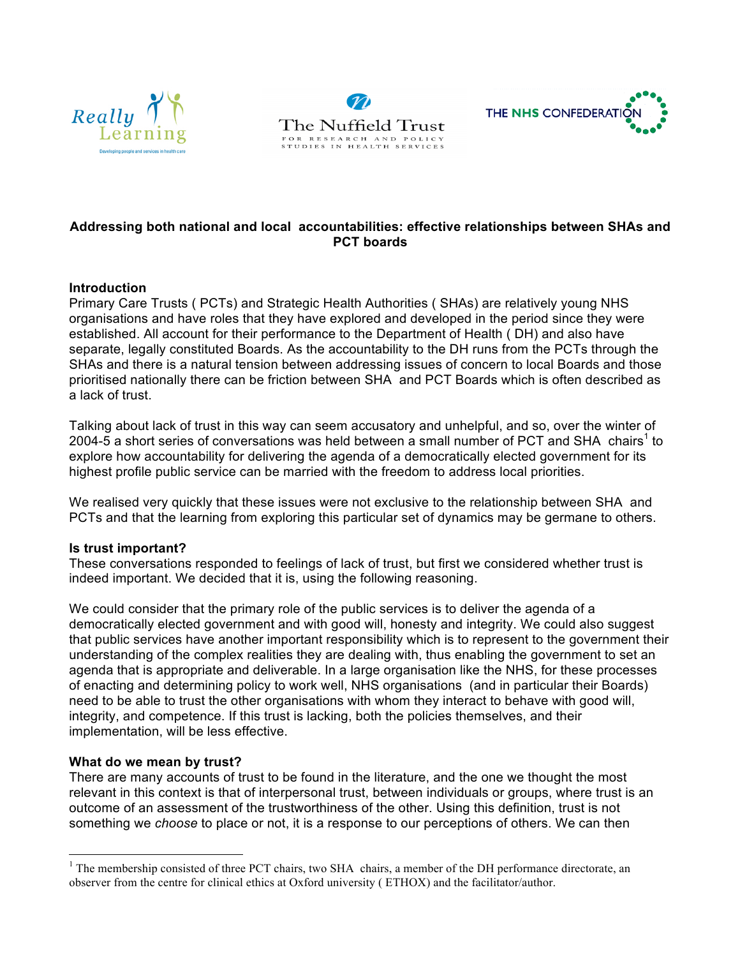





## **Addressing both national and local accountabilities: effective relationships between SHAs and PCT boards**

### **Introduction**

Primary Care Trusts ( PCTs) and Strategic Health Authorities ( SHAs) are relatively young NHS organisations and have roles that they have explored and developed in the period since they were established. All account for their performance to the Department of Health ( DH) and also have separate, legally constituted Boards. As the accountability to the DH runs from the PCTs through the SHAs and there is a natural tension between addressing issues of concern to local Boards and those prioritised nationally there can be friction between SHA and PCT Boards which is often described as a lack of trust.

Talking about lack of trust in this way can seem accusatory and unhelpful, and so, over the winter of 2004-5 a short series of conversations was held between a small number of PCT and SHA chairs<sup>1</sup> to explore how accountability for delivering the agenda of a democratically elected government for its highest profile public service can be married with the freedom to address local priorities.

We realised very quickly that these issues were not exclusive to the relationship between SHA and PCTs and that the learning from exploring this particular set of dynamics may be germane to others.

### **Is trust important?**

These conversations responded to feelings of lack of trust, but first we considered whether trust is indeed important. We decided that it is, using the following reasoning.

We could consider that the primary role of the public services is to deliver the agenda of a democratically elected government and with good will, honesty and integrity. We could also suggest that public services have another important responsibility which is to represent to the government their understanding of the complex realities they are dealing with, thus enabling the government to set an agenda that is appropriate and deliverable. In a large organisation like the NHS, for these processes of enacting and determining policy to work well, NHS organisations (and in particular their Boards) need to be able to trust the other organisations with whom they interact to behave with good will, integrity, and competence. If this trust is lacking, both the policies themselves, and their implementation, will be less effective.

### **What do we mean by trust?**

There are many accounts of trust to be found in the literature, and the one we thought the most relevant in this context is that of interpersonal trust, between individuals or groups, where trust is an outcome of an assessment of the trustworthiness of the other. Using this definition, trust is not something we *choose* to place or not, it is a response to our perceptions of others. We can then

<sup>&</sup>lt;sup>1</sup> The membership consisted of three PCT chairs, two SHA chairs, a member of the DH performance directorate, an observer from the centre for clinical ethics at Oxford university ( ETHOX) and the facilitator/author.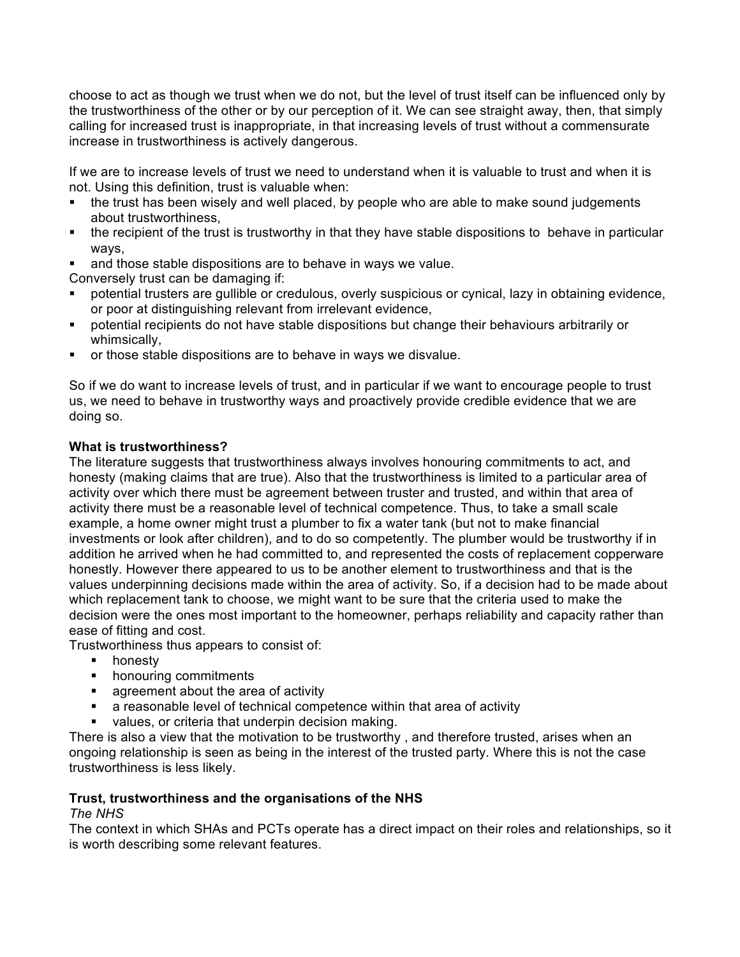choose to act as though we trust when we do not, but the level of trust itself can be influenced only by the trustworthiness of the other or by our perception of it. We can see straight away, then, that simply calling for increased trust is inappropriate, in that increasing levels of trust without a commensurate increase in trustworthiness is actively dangerous.

If we are to increase levels of trust we need to understand when it is valuable to trust and when it is not. Using this definition, trust is valuable when:

- the trust has been wisely and well placed, by people who are able to make sound judgements about trustworthiness,
- the recipient of the trust is trustworthy in that they have stable dispositions to behave in particular ways,
- and those stable dispositions are to behave in ways we value.

Conversely trust can be damaging if:

- potential trusters are gullible or credulous, overly suspicious or cynical, lazy in obtaining evidence. or poor at distinguishing relevant from irrelevant evidence,
- § potential recipients do not have stable dispositions but change their behaviours arbitrarily or whimsically,
- § or those stable dispositions are to behave in ways we disvalue.

So if we do want to increase levels of trust, and in particular if we want to encourage people to trust us, we need to behave in trustworthy ways and proactively provide credible evidence that we are doing so.

# **What is trustworthiness?**

The literature suggests that trustworthiness always involves honouring commitments to act, and honesty (making claims that are true). Also that the trustworthiness is limited to a particular area of activity over which there must be agreement between truster and trusted, and within that area of activity there must be a reasonable level of technical competence. Thus, to take a small scale example, a home owner might trust a plumber to fix a water tank (but not to make financial investments or look after children), and to do so competently. The plumber would be trustworthy if in addition he arrived when he had committed to, and represented the costs of replacement copperware honestly. However there appeared to us to be another element to trustworthiness and that is the values underpinning decisions made within the area of activity. So, if a decision had to be made about which replacement tank to choose, we might want to be sure that the criteria used to make the decision were the ones most important to the homeowner, perhaps reliability and capacity rather than ease of fitting and cost.

Trustworthiness thus appears to consist of:

- honesty
- **•** honouring commitments
- **•** agreement about the area of activity
- a reasonable level of technical competence within that area of activity
- values, or criteria that underpin decision making.

There is also a view that the motivation to be trustworthy , and therefore trusted, arises when an ongoing relationship is seen as being in the interest of the trusted party. Where this is not the case trustworthiness is less likely.

# **Trust, trustworthiness and the organisations of the NHS**

## *The NHS*

The context in which SHAs and PCTs operate has a direct impact on their roles and relationships, so it is worth describing some relevant features.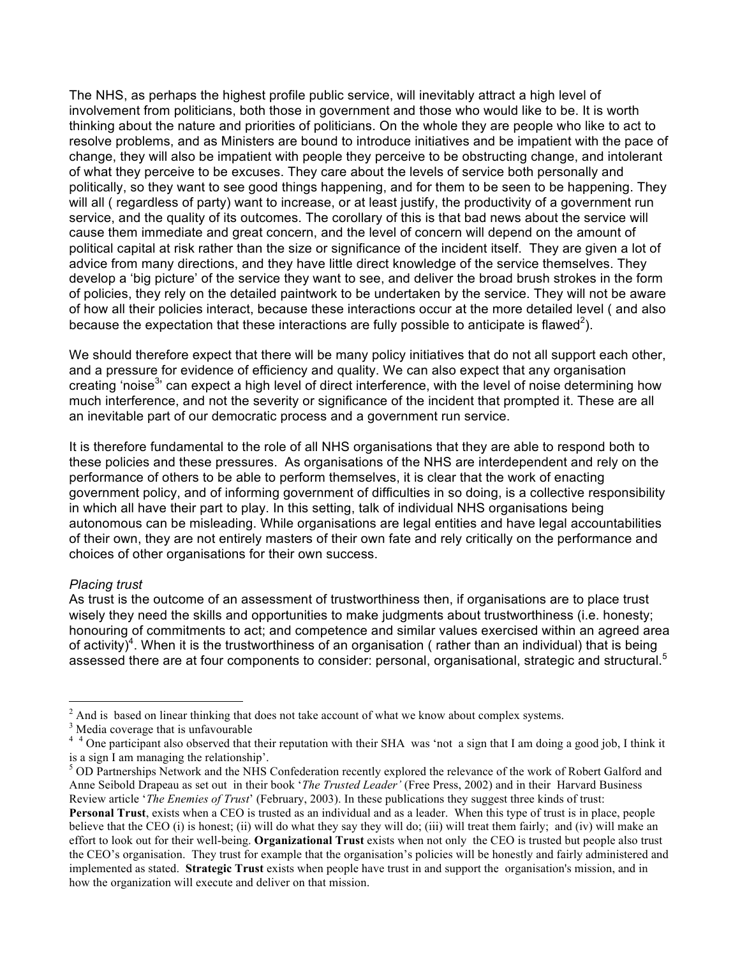The NHS, as perhaps the highest profile public service, will inevitably attract a high level of involvement from politicians, both those in government and those who would like to be. It is worth thinking about the nature and priorities of politicians. On the whole they are people who like to act to resolve problems, and as Ministers are bound to introduce initiatives and be impatient with the pace of change, they will also be impatient with people they perceive to be obstructing change, and intolerant of what they perceive to be excuses. They care about the levels of service both personally and politically, so they want to see good things happening, and for them to be seen to be happening. They will all ( regardless of party) want to increase, or at least justify, the productivity of a government run service, and the quality of its outcomes. The corollary of this is that bad news about the service will cause them immediate and great concern, and the level of concern will depend on the amount of political capital at risk rather than the size or significance of the incident itself. They are given a lot of advice from many directions, and they have little direct knowledge of the service themselves. They develop a 'big picture' of the service they want to see, and deliver the broad brush strokes in the form of policies, they rely on the detailed paintwork to be undertaken by the service. They will not be aware of how all their policies interact, because these interactions occur at the more detailed level ( and also because the expectation that these interactions are fully possible to anticipate is flawed<sup>2</sup>).

We should therefore expect that there will be many policy initiatives that do not all support each other, and a pressure for evidence of efficiency and quality. We can also expect that any organisation creating 'noise<sup>3</sup>' can expect a high level of direct interference, with the level of noise determining how much interference, and not the severity or significance of the incident that prompted it. These are all an inevitable part of our democratic process and a government run service.

It is therefore fundamental to the role of all NHS organisations that they are able to respond both to these policies and these pressures. As organisations of the NHS are interdependent and rely on the performance of others to be able to perform themselves, it is clear that the work of enacting government policy, and of informing government of difficulties in so doing, is a collective responsibility in which all have their part to play. In this setting, talk of individual NHS organisations being autonomous can be misleading. While organisations are legal entities and have legal accountabilities of their own, they are not entirely masters of their own fate and rely critically on the performance and choices of other organisations for their own success.

### *Placing trust*

As trust is the outcome of an assessment of trustworthiness then, if organisations are to place trust wisely they need the skills and opportunities to make judgments about trustworthiness (i.e. honesty; honouring of commitments to act; and competence and similar values exercised within an agreed area of activity)<sup>4</sup>. When it is the trustworthiness of an organisation ( rather than an individual) that is being assessed there are at four components to consider: personal, organisational, strategic and structural.<sup>5</sup>

 $2^2$  And is based on linear thinking that does not take account of what we know about complex systems.  $3^3$  Media coverage that is unfavourable

<sup>&</sup>lt;sup>4</sup> <sup>4</sup> One participant also observed that their reputation with their SHA was 'not a sign that I am doing a good job, I think it is a sign I am managing the relationship'.<br><sup>5</sup> OD Partnerships Network and the NHS Confederation recently explored the relevance of the work of Robert Galford and

Anne Seibold Drapeau as set out in their book '*The Trusted Leader'* (Free Press, 2002) and in their Harvard Business Review article '*The Enemies of Trust*' (February, 2003). In these publications they suggest three kinds of trust:

**Personal Trust**, exists when a CEO is trusted as an individual and as a leader. When this type of trust is in place, people believe that the CEO (i) is honest; (ii) will do what they say they will do; (iii) will treat them fairly; and (iv) will make an effort to look out for their well-being. **Organizational Trust** exists when not only the CEO is trusted but people also trust the CEO's organisation. They trust for example that the organisation's policies will be honestly and fairly administered and implemented as stated. **Strategic Trust** exists when people have trust in and support the organisation's mission, and in how the organization will execute and deliver on that mission.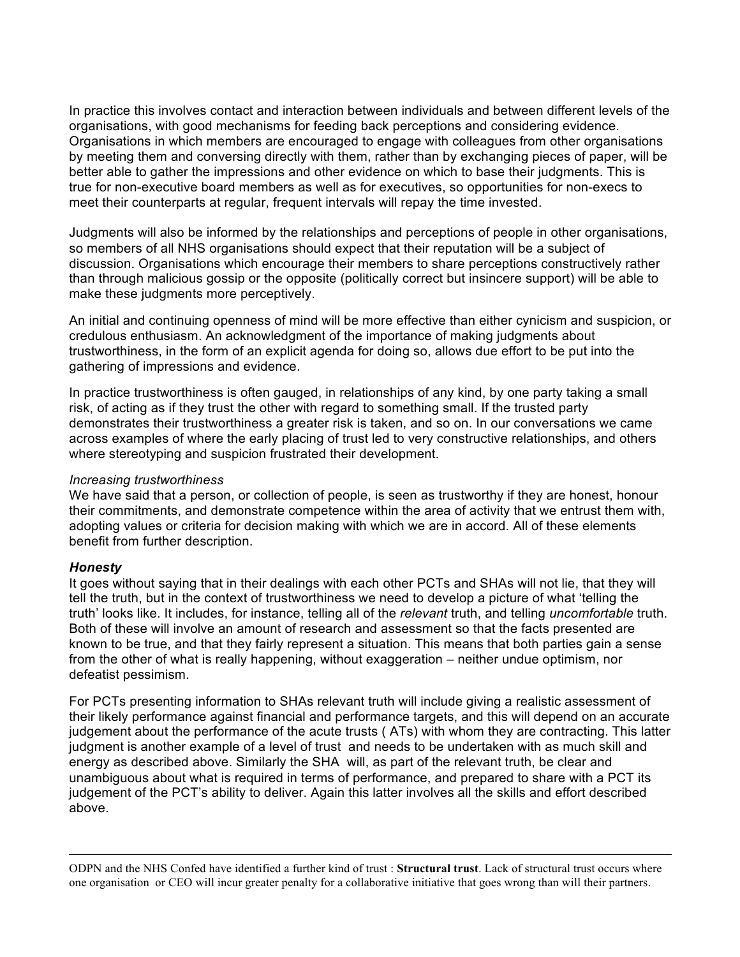In practice this involves contact and interaction between individuals and between different levels of the organisations, with good mechanisms for feeding back perceptions and considering evidence. Organisations in which members are encouraged to engage with colleagues from other organisations by meeting them and conversing directly with them, rather than by exchanging pieces of paper, will be better able to gather the impressions and other evidence on which to base their judgments. This is true for non-executive board members as well as for executives, so opportunities for non-execs to meet their counterparts at regular, frequent intervals will repay the time invested.

Judgments will also be informed by the relationships and perceptions of people in other organisations, so members of all NHS organisations should expect that their reputation will be a subject of discussion. Organisations which encourage their members to share perceptions constructively rather than through malicious gossip or the opposite (politically correct but insincere support) will be able to make these judgments more perceptively.

An initial and continuing openness of mind will be more effective than either cynicism and suspicion, or credulous enthusiasm. An acknowledgment of the importance of making judgments about trustworthiness, in the form of an explicit agenda for doing so, allows due effort to be put into the gathering of impressions and evidence.

In practice trustworthiness is often gauged, in relationships of any kind, by one party taking a small risk, of acting as if they trust the other with regard to something small. If the trusted party demonstrates their trustworthiness a greater risk is taken, and so on. In our conversations we came across examples of where the early placing of trust led to very constructive relationships, and others where stereotyping and suspicion frustrated their development.

### *Increasing trustworthiness*

We have said that a person, or collection of people, is seen as trustworthy if they are honest, honour their commitments, and demonstrate competence within the area of activity that we entrust them with, adopting values or criteria for decision making with which we are in accord. All of these elements benefit from further description.

### *Honesty*

1

It goes without saying that in their dealings with each other PCTs and SHAs will not lie, that they will tell the truth, but in the context of trustworthiness we need to develop a picture of what 'telling the truth' looks like. It includes, for instance, telling all of the *relevant* truth, and telling *uncomfortable* truth. Both of these will involve an amount of research and assessment so that the facts presented are known to be true, and that they fairly represent a situation. This means that both parties gain a sense from the other of what is really happening, without exaggeration – neither undue optimism, nor defeatist pessimism.

For PCTs presenting information to SHAs relevant truth will include giving a realistic assessment of their likely performance against financial and performance targets, and this will depend on an accurate judgement about the performance of the acute trusts ( ATs) with whom they are contracting. This latter judgment is another example of a level of trust and needs to be undertaken with as much skill and energy as described above. Similarly the SHA will, as part of the relevant truth, be clear and unambiguous about what is required in terms of performance, and prepared to share with a PCT its judgement of the PCT's ability to deliver. Again this latter involves all the skills and effort described above.

ODPN and the NHS Confed have identified a further kind of trust : **Structural trust**. Lack of structural trust occurs where one organisation or CEO will incur greater penalty for a collaborative initiative that goes wrong than will their partners.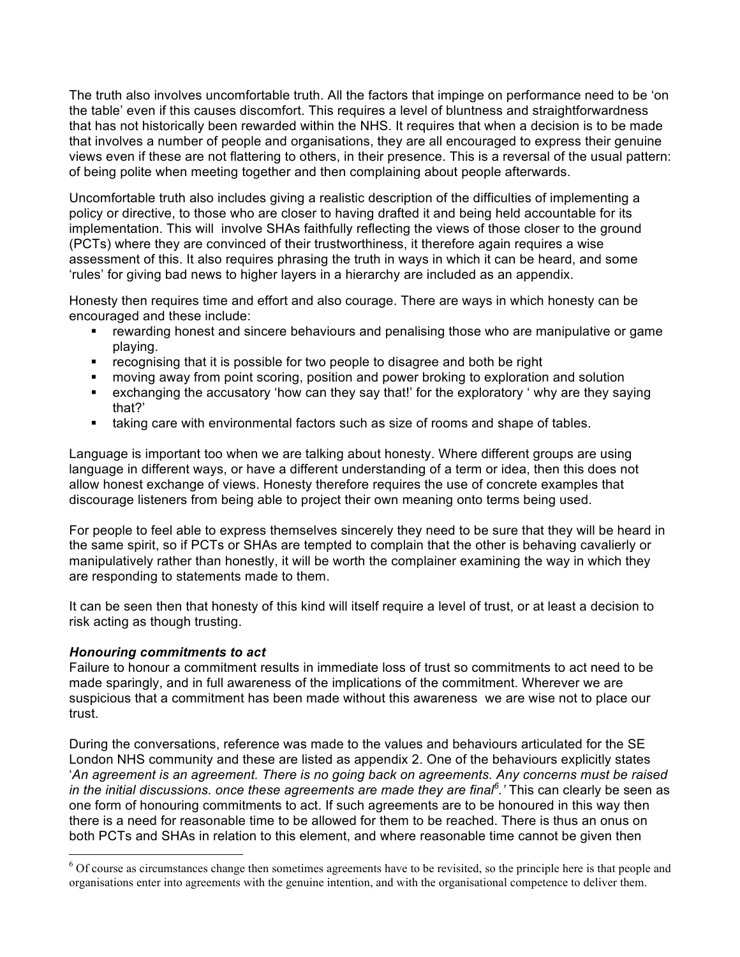The truth also involves uncomfortable truth. All the factors that impinge on performance need to be 'on the table' even if this causes discomfort. This requires a level of bluntness and straightforwardness that has not historically been rewarded within the NHS. It requires that when a decision is to be made that involves a number of people and organisations, they are all encouraged to express their genuine views even if these are not flattering to others, in their presence. This is a reversal of the usual pattern: of being polite when meeting together and then complaining about people afterwards.

Uncomfortable truth also includes giving a realistic description of the difficulties of implementing a policy or directive, to those who are closer to having drafted it and being held accountable for its implementation. This will involve SHAs faithfully reflecting the views of those closer to the ground (PCTs) where they are convinced of their trustworthiness, it therefore again requires a wise assessment of this. It also requires phrasing the truth in ways in which it can be heard, and some 'rules' for giving bad news to higher layers in a hierarchy are included as an appendix.

Honesty then requires time and effort and also courage. There are ways in which honesty can be encouraged and these include:

- rewarding honest and sincere behaviours and penalising those who are manipulative or game playing.
- § recognising that it is possible for two people to disagree and both be right
- moving away from point scoring, position and power broking to exploration and solution
- exchanging the accusatory 'how can they say that!' for the exploratory ' why are they saying that?'
- **Example 2** taking care with environmental factors such as size of rooms and shape of tables.

Language is important too when we are talking about honesty. Where different groups are using language in different ways, or have a different understanding of a term or idea, then this does not allow honest exchange of views. Honesty therefore requires the use of concrete examples that discourage listeners from being able to project their own meaning onto terms being used.

For people to feel able to express themselves sincerely they need to be sure that they will be heard in the same spirit, so if PCTs or SHAs are tempted to complain that the other is behaving cavalierly or manipulatively rather than honestly, it will be worth the complainer examining the way in which they are responding to statements made to them.

It can be seen then that honesty of this kind will itself require a level of trust, or at least a decision to risk acting as though trusting.

### *Honouring commitments to act*

Failure to honour a commitment results in immediate loss of trust so commitments to act need to be made sparingly, and in full awareness of the implications of the commitment. Wherever we are suspicious that a commitment has been made without this awareness we are wise not to place our trust.

During the conversations, reference was made to the values and behaviours articulated for the SE London NHS community and these are listed as appendix 2. One of the behaviours explicitly states '*An agreement is an agreement. There is no going back on agreements. Any concerns must be raised in the initial discussions. once these agreements are made they are final<sup>6</sup> .'* This can clearly be seen as one form of honouring commitments to act. If such agreements are to be honoured in this way then there is a need for reasonable time to be allowed for them to be reached. There is thus an onus on both PCTs and SHAs in relation to this element, and where reasonable time cannot be given then

<sup>&</sup>lt;sup>6</sup> Of course as circumstances change then sometimes agreements have to be revisited, so the principle here is that people and organisations enter into agreements with the genuine intention, and with the organisational competence to deliver them.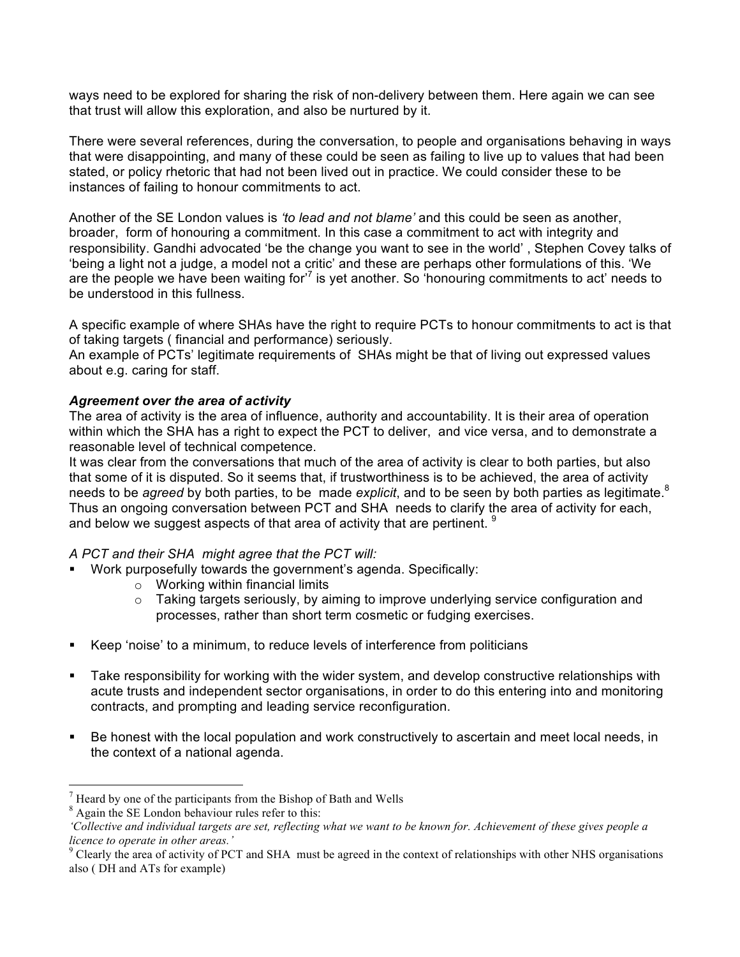ways need to be explored for sharing the risk of non-delivery between them. Here again we can see that trust will allow this exploration, and also be nurtured by it.

There were several references, during the conversation, to people and organisations behaving in ways that were disappointing, and many of these could be seen as failing to live up to values that had been stated, or policy rhetoric that had not been lived out in practice. We could consider these to be instances of failing to honour commitments to act.

Another of the SE London values is *'to lead and not blame'* and this could be seen as another, broader, form of honouring a commitment. In this case a commitment to act with integrity and responsibility. Gandhi advocated 'be the change you want to see in the world' , Stephen Covey talks of 'being a light not a judge, a model not a critic' and these are perhaps other formulations of this. 'We are the people we have been waiting for<sup> $7$ </sup> is yet another. So 'honouring commitments to act' needs to be understood in this fullness.

A specific example of where SHAs have the right to require PCTs to honour commitments to act is that of taking targets ( financial and performance) seriously.

An example of PCTs' legitimate requirements of SHAs might be that of living out expressed values about e.g. caring for staff.

### *Agreement over the area of activity*

The area of activity is the area of influence, authority and accountability. It is their area of operation within which the SHA has a right to expect the PCT to deliver, and vice versa, and to demonstrate a reasonable level of technical competence.

It was clear from the conversations that much of the area of activity is clear to both parties, but also that some of it is disputed. So it seems that, if trustworthiness is to be achieved, the area of activity needs to be *agreed* by both parties, to be made *explicit*, and to be seen by both parties as legitimate.<sup>8</sup> Thus an ongoing conversation between PCT and SHA needs to clarify the area of activity for each, and below we suggest aspects of that area of activity that are pertinent.  $9$ 

## *A PCT and their SHA might agree that the PCT will:*

- Work purposefully towards the government's agenda. Specifically:
	- o Working within financial limits
	- $\circ$  Taking targets seriously, by aiming to improve underlying service configuration and processes, rather than short term cosmetic or fudging exercises.
- § Keep 'noise' to a minimum, to reduce levels of interference from politicians
- **•** Take responsibility for working with the wider system, and develop constructive relationships with acute trusts and independent sector organisations, in order to do this entering into and monitoring contracts, and prompting and leading service reconfiguration.
- Be honest with the local population and work constructively to ascertain and meet local needs, in the context of a national agenda.

<sup>8</sup> Again the SE London behaviour rules refer to this:

 $<sup>7</sup>$  Heard by one of the participants from the Bishop of Bath and Wells</sup>

*<sup>&#</sup>x27;Collective and individual targets are set, reflecting what we want to be known for. Achievement of these gives people a licence to operate in other areas.'*

 $9^9$  Clearly the area of activity of PCT and SHA must be agreed in the context of relationships with other NHS organisations also ( DH and ATs for example)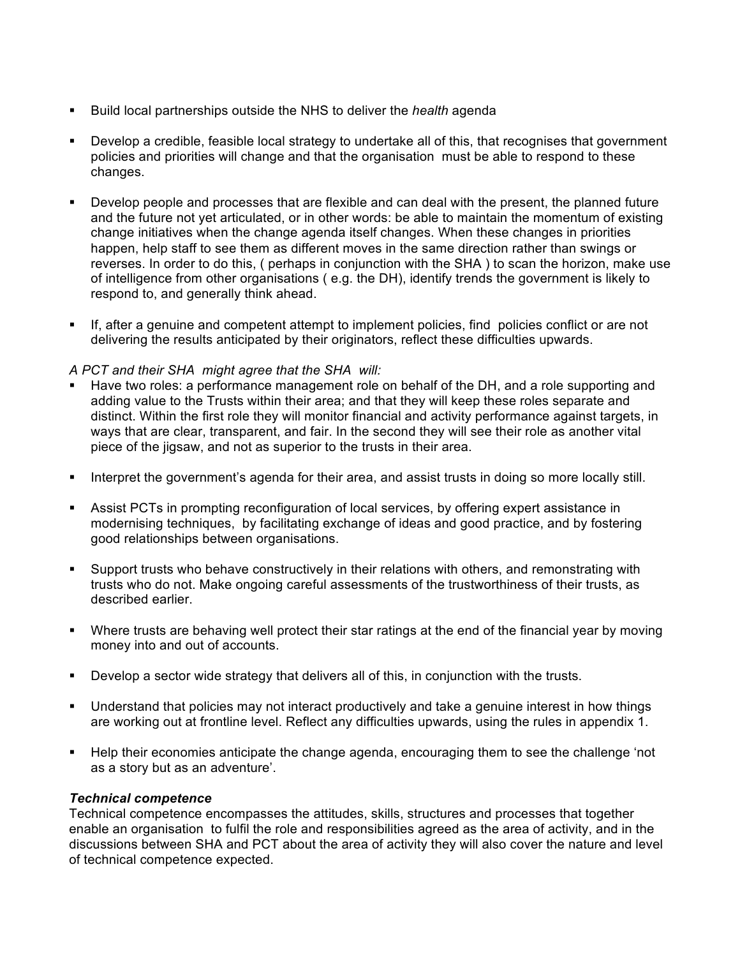- § Build local partnerships outside the NHS to deliver the *health* agenda
- § Develop a credible, feasible local strategy to undertake all of this, that recognises that government policies and priorities will change and that the organisation must be able to respond to these changes.
- Develop people and processes that are flexible and can deal with the present, the planned future and the future not yet articulated, or in other words: be able to maintain the momentum of existing change initiatives when the change agenda itself changes. When these changes in priorities happen, help staff to see them as different moves in the same direction rather than swings or reverses. In order to do this, ( perhaps in conjunction with the SHA ) to scan the horizon, make use of intelligence from other organisations ( e.g. the DH), identify trends the government is likely to respond to, and generally think ahead.
- **•** If, after a genuine and competent attempt to implement policies, find policies conflict or are not delivering the results anticipated by their originators, reflect these difficulties upwards.

### *A PCT and their SHA might agree that the SHA will:*

- Have two roles: a performance management role on behalf of the DH, and a role supporting and adding value to the Trusts within their area; and that they will keep these roles separate and distinct. Within the first role they will monitor financial and activity performance against targets, in ways that are clear, transparent, and fair. In the second they will see their role as another vital piece of the jigsaw, and not as superior to the trusts in their area.
- Interpret the government's agenda for their area, and assist trusts in doing so more locally still.
- Assist PCTs in prompting reconfiguration of local services, by offering expert assistance in modernising techniques, by facilitating exchange of ideas and good practice, and by fostering good relationships between organisations.
- § Support trusts who behave constructively in their relations with others, and remonstrating with trusts who do not. Make ongoing careful assessments of the trustworthiness of their trusts, as described earlier.
- § Where trusts are behaving well protect their star ratings at the end of the financial year by moving money into and out of accounts.
- **•** Develop a sector wide strategy that delivers all of this, in conjunction with the trusts.
- § Understand that policies may not interact productively and take a genuine interest in how things are working out at frontline level. Reflect any difficulties upwards, using the rules in appendix 1.
- § Help their economies anticipate the change agenda, encouraging them to see the challenge 'not as a story but as an adventure'.

### *Technical competence*

Technical competence encompasses the attitudes, skills, structures and processes that together enable an organisation to fulfil the role and responsibilities agreed as the area of activity, and in the discussions between SHA and PCT about the area of activity they will also cover the nature and level of technical competence expected.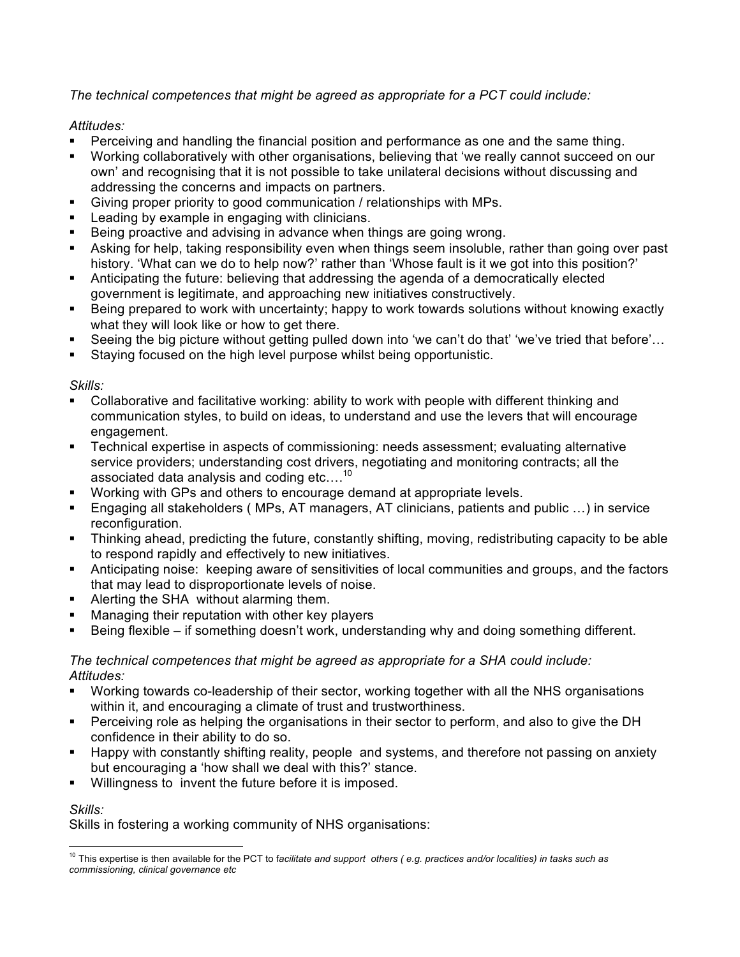*The technical competences that might be agreed as appropriate for a PCT could include:*

# *Attitudes:*

- **•** Perceiving and handling the financial position and performance as one and the same thing.
- § Working collaboratively with other organisations, believing that 'we really cannot succeed on our own' and recognising that it is not possible to take unilateral decisions without discussing and addressing the concerns and impacts on partners.
- § Giving proper priority to good communication / relationships with MPs.
- Leading by example in engaging with clinicians.
- Being proactive and advising in advance when things are going wrong.
- Asking for help, taking responsibility even when things seem insoluble, rather than going over past history. 'What can we do to help now?' rather than 'Whose fault is it we got into this position?'
- Anticipating the future: believing that addressing the agenda of a democratically elected government is legitimate, and approaching new initiatives constructively.
- § Being prepared to work with uncertainty; happy to work towards solutions without knowing exactly what they will look like or how to get there.
- Seeing the big picture without getting pulled down into 'we can't do that' 'we've tried that before'…
- Staying focused on the high level purpose whilst being opportunistic.

# *Skills:*

- § Collaborative and facilitative working: ability to work with people with different thinking and communication styles, to build on ideas, to understand and use the levers that will encourage engagement.
- Technical expertise in aspects of commissioning: needs assessment; evaluating alternative service providers; understanding cost drivers, negotiating and monitoring contracts; all the associated data analysis and coding etc....<sup>10</sup>
- § Working with GPs and others to encourage demand at appropriate levels.
- § Engaging all stakeholders ( MPs, AT managers, AT clinicians, patients and public …) in service reconfiguration.
- Thinking ahead, predicting the future, constantly shifting, moving, redistributing capacity to be able to respond rapidly and effectively to new initiatives.
- Anticipating noise: keeping aware of sensitivities of local communities and groups, and the factors that may lead to disproportionate levels of noise.
- Alerting the SHA without alarming them.
- **■** Managing their reputation with other key players
- **•** Being flexible if something doesn't work, understanding why and doing something different.

## *The technical competences that might be agreed as appropriate for a SHA could include: Attitudes:*

- § Working towards co-leadership of their sector, working together with all the NHS organisations within it, and encouraging a climate of trust and trustworthiness.
- Perceiving role as helping the organisations in their sector to perform, and also to give the DH confidence in their ability to do so.
- Happy with constantly shifting reality, people and systems, and therefore not passing on anxiety but encouraging a 'how shall we deal with this?' stance.
- Willingness to invent the future before it is imposed.

## *Skills:*

Skills in fostering a working community of NHS organisations:

<sup>&</sup>lt;sup>10</sup> This expertise is then available for the PCT to facilitate and support others (e.g. practices and/or localities) in tasks such as *commissioning, clinical governance etc*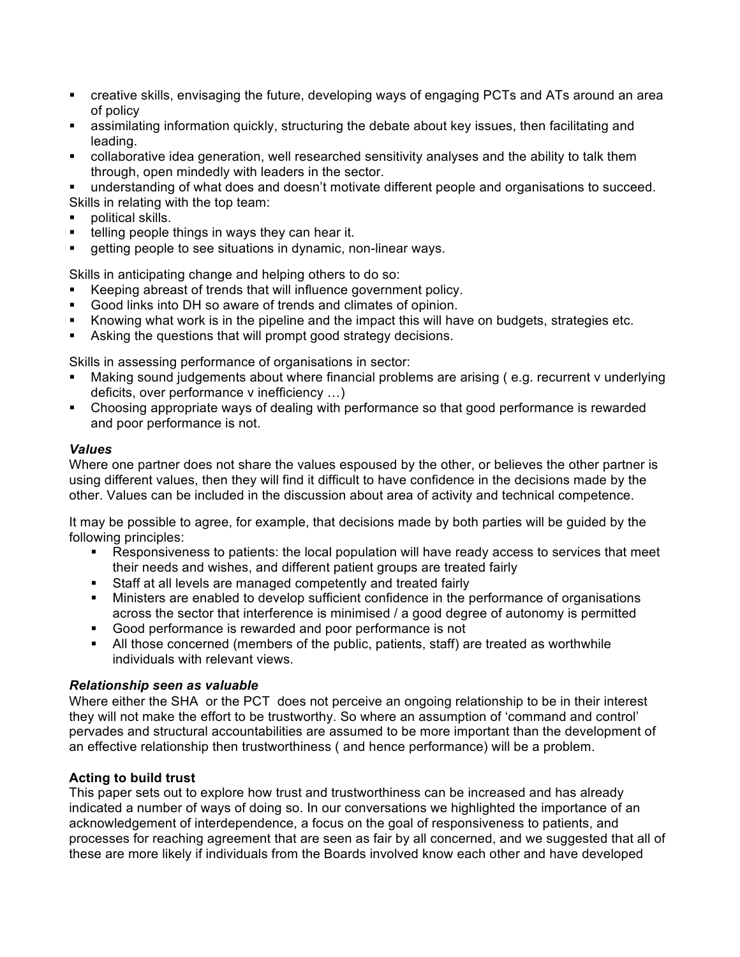- creative skills, envisaging the future, developing ways of engaging PCTs and ATs around an area of policy
- assimilating information quickly, structuring the debate about key issues, then facilitating and leading.
- collaborative idea generation, well researched sensitivity analyses and the ability to talk them through, open mindedly with leaders in the sector.

§ understanding of what does and doesn't motivate different people and organisations to succeed. Skills in relating with the top team:

- § political skills.
- telling people things in ways they can hear it.
- getting people to see situations in dynamic, non-linear ways.

Skills in anticipating change and helping others to do so:

- Keeping abreast of trends that will influence government policy.
- § Good links into DH so aware of trends and climates of opinion.
- Knowing what work is in the pipeline and the impact this will have on budgets, strategies etc.
- Asking the questions that will prompt good strategy decisions.

Skills in assessing performance of organisations in sector:

- Making sound judgements about where financial problems are arising (e.g. recurrent v underlying deficits, over performance v inefficiency …)
- § Choosing appropriate ways of dealing with performance so that good performance is rewarded and poor performance is not.

### *Values*

Where one partner does not share the values espoused by the other, or believes the other partner is using different values, then they will find it difficult to have confidence in the decisions made by the other. Values can be included in the discussion about area of activity and technical competence.

It may be possible to agree, for example, that decisions made by both parties will be guided by the following principles:

- Responsiveness to patients: the local population will have ready access to services that meet their needs and wishes, and different patient groups are treated fairly
- Staff at all levels are managed competently and treated fairly
- Ministers are enabled to develop sufficient confidence in the performance of organisations across the sector that interference is minimised / a good degree of autonomy is permitted
- § Good performance is rewarded and poor performance is not
- All those concerned (members of the public, patients, staff) are treated as worthwhile individuals with relevant views.

## *Relationship seen as valuable*

Where either the SHA or the PCT does not perceive an ongoing relationship to be in their interest they will not make the effort to be trustworthy. So where an assumption of 'command and control' pervades and structural accountabilities are assumed to be more important than the development of an effective relationship then trustworthiness ( and hence performance) will be a problem.

## **Acting to build trust**

This paper sets out to explore how trust and trustworthiness can be increased and has already indicated a number of ways of doing so. In our conversations we highlighted the importance of an acknowledgement of interdependence, a focus on the goal of responsiveness to patients, and processes for reaching agreement that are seen as fair by all concerned, and we suggested that all of these are more likely if individuals from the Boards involved know each other and have developed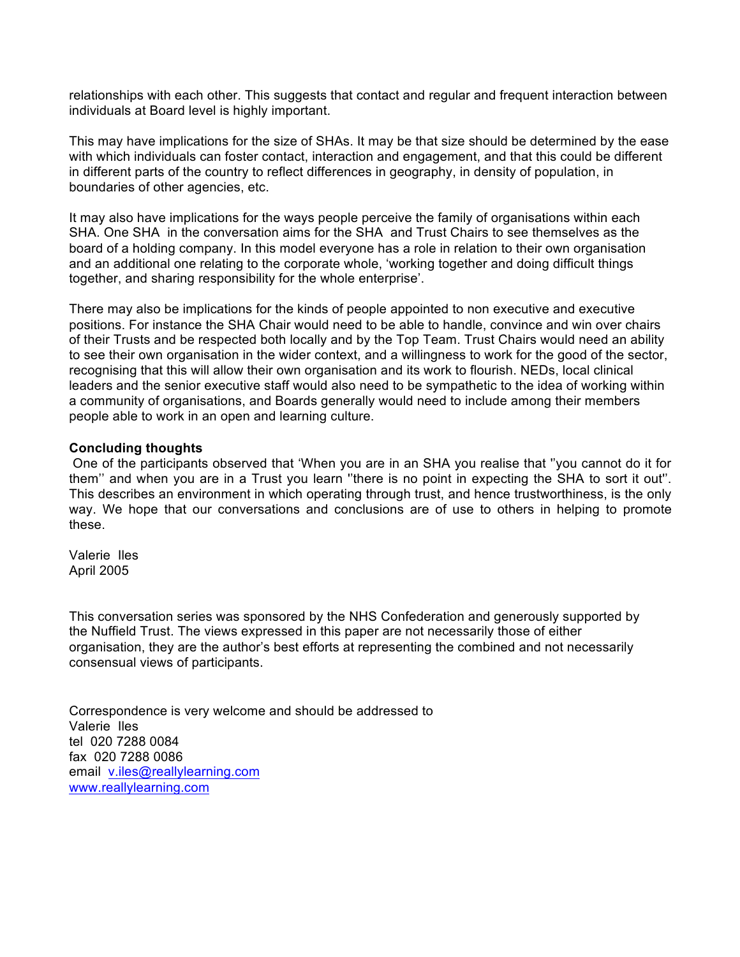relationships with each other. This suggests that contact and regular and frequent interaction between individuals at Board level is highly important.

This may have implications for the size of SHAs. It may be that size should be determined by the ease with which individuals can foster contact, interaction and engagement, and that this could be different in different parts of the country to reflect differences in geography, in density of population, in boundaries of other agencies, etc.

It may also have implications for the ways people perceive the family of organisations within each SHA. One SHA in the conversation aims for the SHA and Trust Chairs to see themselves as the board of a holding company. In this model everyone has a role in relation to their own organisation and an additional one relating to the corporate whole, 'working together and doing difficult things together, and sharing responsibility for the whole enterprise'.

There may also be implications for the kinds of people appointed to non executive and executive positions. For instance the SHA Chair would need to be able to handle, convince and win over chairs of their Trusts and be respected both locally and by the Top Team. Trust Chairs would need an ability to see their own organisation in the wider context, and a willingness to work for the good of the sector, recognising that this will allow their own organisation and its work to flourish. NEDs, local clinical leaders and the senior executive staff would also need to be sympathetic to the idea of working within a community of organisations, and Boards generally would need to include among their members people able to work in an open and learning culture.

### **Concluding thoughts**

One of the participants observed that 'When you are in an SHA you realise that ''you cannot do it for them'' and when you are in a Trust you learn ''there is no point in expecting the SHA to sort it out''. This describes an environment in which operating through trust, and hence trustworthiness, is the only way. We hope that our conversations and conclusions are of use to others in helping to promote these.

Valerie Iles April 2005

This conversation series was sponsored by the NHS Confederation and generously supported by the Nuffield Trust. The views expressed in this paper are not necessarily those of either organisation, they are the author's best efforts at representing the combined and not necessarily consensual views of participants.

Correspondence is very welcome and should be addressed to Valerie Iles tel 020 7288 0084 fax 020 7288 0086 email v.iles@reallylearning.com www.reallylearning.com